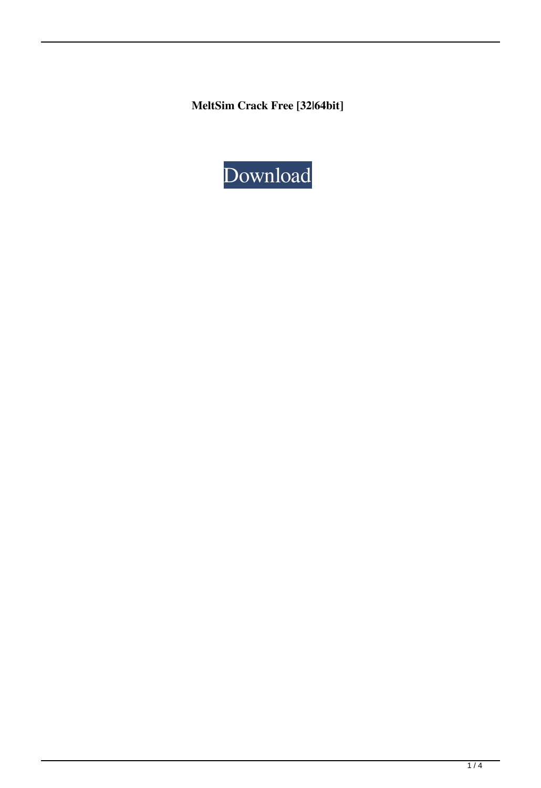**MeltSim Crack Free [32|64bit]**

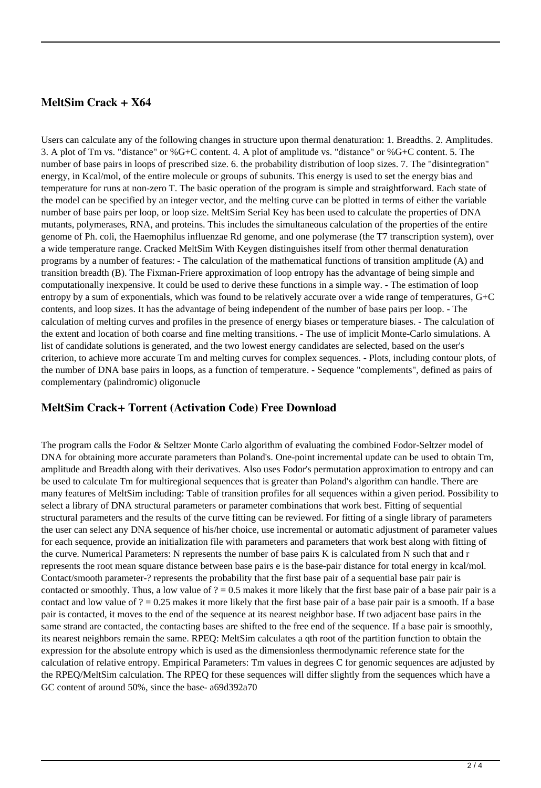# **MeltSim Crack + X64**

Users can calculate any of the following changes in structure upon thermal denaturation: 1. Breadths. 2. Amplitudes. 3. A plot of Tm vs. "distance" or %G+C content. 4. A plot of amplitude vs. "distance" or %G+C content. 5. The number of base pairs in loops of prescribed size. 6. the probability distribution of loop sizes. 7. The "disintegration" energy, in Kcal/mol, of the entire molecule or groups of subunits. This energy is used to set the energy bias and temperature for runs at non-zero T. The basic operation of the program is simple and straightforward. Each state of the model can be specified by an integer vector, and the melting curve can be plotted in terms of either the variable number of base pairs per loop, or loop size. MeltSim Serial Key has been used to calculate the properties of DNA mutants, polymerases, RNA, and proteins. This includes the simultaneous calculation of the properties of the entire genome of Ph. coli, the Haemophilus influenzae Rd genome, and one polymerase (the T7 transcription system), over a wide temperature range. Cracked MeltSim With Keygen distinguishes itself from other thermal denaturation programs by a number of features: - The calculation of the mathematical functions of transition amplitude (A) and transition breadth (B). The Fixman-Friere approximation of loop entropy has the advantage of being simple and computationally inexpensive. It could be used to derive these functions in a simple way. - The estimation of loop entropy by a sum of exponentials, which was found to be relatively accurate over a wide range of temperatures, G+C contents, and loop sizes. It has the advantage of being independent of the number of base pairs per loop. - The calculation of melting curves and profiles in the presence of energy biases or temperature biases. - The calculation of the extent and location of both coarse and fine melting transitions. - The use of implicit Monte-Carlo simulations. A list of candidate solutions is generated, and the two lowest energy candidates are selected, based on the user's criterion, to achieve more accurate Tm and melting curves for complex sequences. - Plots, including contour plots, of the number of DNA base pairs in loops, as a function of temperature. - Sequence "complements", defined as pairs of complementary (palindromic) oligonucle

# **MeltSim Crack+ Torrent (Activation Code) Free Download**

The program calls the Fodor & Seltzer Monte Carlo algorithm of evaluating the combined Fodor-Seltzer model of DNA for obtaining more accurate parameters than Poland's. One-point incremental update can be used to obtain Tm, amplitude and Breadth along with their derivatives. Also uses Fodor's permutation approximation to entropy and can be used to calculate Tm for multiregional sequences that is greater than Poland's algorithm can handle. There are many features of MeltSim including: Table of transition profiles for all sequences within a given period. Possibility to select a library of DNA structural parameters or parameter combinations that work best. Fitting of sequential structural parameters and the results of the curve fitting can be reviewed. For fitting of a single library of parameters the user can select any DNA sequence of his/her choice, use incremental or automatic adjustment of parameter values for each sequence, provide an initialization file with parameters and parameters that work best along with fitting of the curve. Numerical Parameters: N represents the number of base pairs K is calculated from N such that and r represents the root mean square distance between base pairs e is the base-pair distance for total energy in kcal/mol. Contact/smooth parameter-? represents the probability that the first base pair of a sequential base pair pair is contacted or smoothly. Thus, a low value of  $? = 0.5$  makes it more likely that the first base pair of a base pair pair is a contact and low value of  $? = 0.25$  makes it more likely that the first base pair of a base pair pair is a smooth. If a base pair is contacted, it moves to the end of the sequence at its nearest neighbor base. If two adjacent base pairs in the same strand are contacted, the contacting bases are shifted to the free end of the sequence. If a base pair is smoothly, its nearest neighbors remain the same. RPEQ: MeltSim calculates a qth root of the partition function to obtain the expression for the absolute entropy which is used as the dimensionless thermodynamic reference state for the calculation of relative entropy. Empirical Parameters: Tm values in degrees C for genomic sequences are adjusted by the RPEQ/MeltSim calculation. The RPEQ for these sequences will differ slightly from the sequences which have a GC content of around 50%, since the base- a69d392a70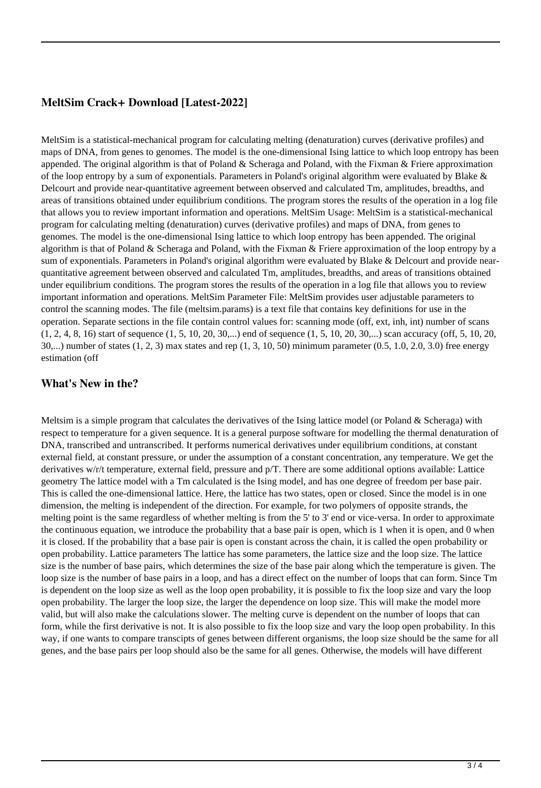### **MeltSim Crack+ Download [Latest-2022]**

MeltSim is a statistical-mechanical program for calculating melting (denaturation) curves (derivative profiles) and maps of DNA, from genes to genomes. The model is the one-dimensional Ising lattice to which loop entropy has been appended. The original algorithm is that of Poland  $\&$  Scheraga and Poland, with the Fixman  $\&$  Friere approximation of the loop entropy by a sum of exponentials. Parameters in Poland's original algorithm were evaluated by Blake  $\&$ Delcourt and provide near-quantitative agreement between observed and calculated Tm, amplitudes, breadths, and areas of transitions obtained under equilibrium conditions. The program stores the results of the operation in a log file that allows you to review important information and operations. MeltSim Usage: MeltSim is a statistical-mechanical program for calculating melting (denaturation) curves (derivative profiles) and maps of DNA, from genes to genomes. The model is the one-dimensional Ising lattice to which loop entropy has been appended. The original algorithm is that of Poland  $&$  Scheraga and Poland, with the Fixman  $&$  Friere approximation of the loop entropy by a sum of exponentials. Parameters in Poland's original algorithm were evaluated by Blake & Delcourt and provide nearquantitative agreement between observed and calculated Tm, amplitudes, breadths, and areas of transitions obtained under equilibrium conditions. The program stores the results of the operation in a log file that allows you to review important information and operations. MeltSim Parameter File: MeltSim provides user adjustable parameters to control the scanning modes. The file (meltsim.params) is a text file that contains key definitions for use in the operation. Separate sections in the file contain control values for: scanning mode (off, ext, inh, int) number of scans (1, 2, 4, 8, 16) start of sequence (1, 5, 10, 20, 30,...) end of sequence (1, 5, 10, 20, 30,...) scan accuracy (off, 5, 10, 20, 30,...) number of states (1, 2, 3) max states and rep (1, 3, 10, 50) minimum parameter (0.5, 1.0, 2.0, 3.0) free energy estimation (off

#### **What's New in the?**

Meltsim is a simple program that calculates the derivatives of the Ising lattice model (or Poland & Scheraga) with respect to temperature for a given sequence. It is a general purpose software for modelling the thermal denaturation of DNA, transcribed and untranscribed. It performs numerical derivatives under equilibrium conditions, at constant external field, at constant pressure, or under the assumption of a constant concentration, any temperature. We get the derivatives w/r/t temperature, external field, pressure and p/T. There are some additional options available: Lattice geometry The lattice model with a Tm calculated is the Ising model, and has one degree of freedom per base pair. This is called the one-dimensional lattice. Here, the lattice has two states, open or closed. Since the model is in one dimension, the melting is independent of the direction. For example, for two polymers of opposite strands, the melting point is the same regardless of whether melting is from the 5' to 3' end or vice-versa. In order to approximate the continuous equation, we introduce the probability that a base pair is open, which is 1 when it is open, and 0 when it is closed. If the probability that a base pair is open is constant across the chain, it is called the open probability or open probability. Lattice parameters The lattice has some parameters, the lattice size and the loop size. The lattice size is the number of base pairs, which determines the size of the base pair along which the temperature is given. The loop size is the number of base pairs in a loop, and has a direct effect on the number of loops that can form. Since Tm is dependent on the loop size as well as the loop open probability, it is possible to fix the loop size and vary the loop open probability. The larger the loop size, the larger the dependence on loop size. This will make the model more valid, but will also make the calculations slower. The melting curve is dependent on the number of loops that can form, while the first derivative is not. It is also possible to fix the loop size and vary the loop open probability. In this way, if one wants to compare transcipts of genes between different organisms, the loop size should be the same for all genes, and the base pairs per loop should also be the same for all genes. Otherwise, the models will have different